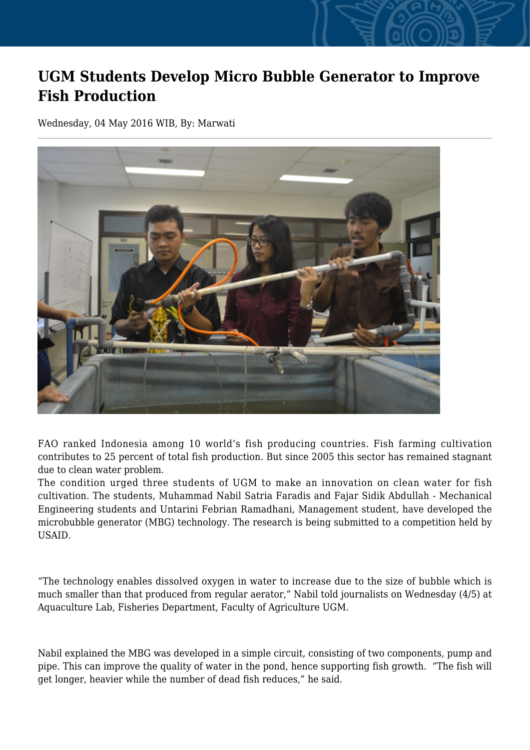## **UGM Students Develop Micro Bubble Generator to Improve Fish Production**

Wednesday, 04 May 2016 WIB, By: Marwati



FAO ranked Indonesia among 10 world's fish producing countries. Fish farming cultivation contributes to 25 percent of total fish production. But since 2005 this sector has remained stagnant due to clean water problem.

The condition urged three students of UGM to make an innovation on clean water for fish cultivation. The students, Muhammad Nabil Satria Faradis and Fajar Sidik Abdullah - Mechanical Engineering students and Untarini Febrian Ramadhani, Management student, have developed the microbubble generator (MBG) technology. The research is being submitted to a competition held by USAID.

"The technology enables dissolved oxygen in water to increase due to the size of bubble which is much smaller than that produced from regular aerator," Nabil told journalists on Wednesday (4/5) at Aquaculture Lab, Fisheries Department, Faculty of Agriculture UGM.

Nabil explained the MBG was developed in a simple circuit, consisting of two components, pump and pipe. This can improve the quality of water in the pond, hence supporting fish growth. "The fish will get longer, heavier while the number of dead fish reduces," he said.